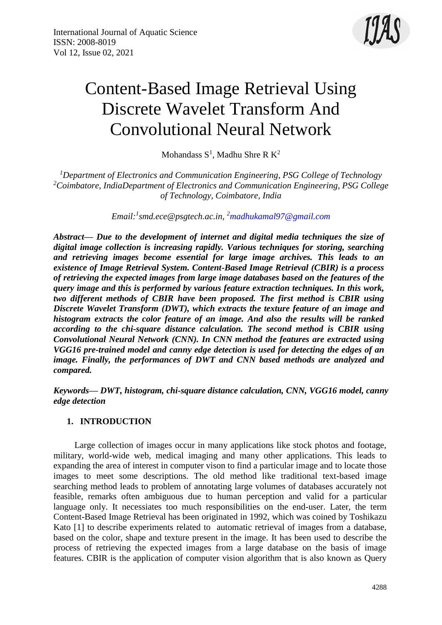

# Content-Based Image Retrieval Using Discrete Wavelet Transform And Convolutional Neural Network

Mohandass  $S^1$ , Madhu Shre R  $K^2$ 

*<sup>1</sup>Department of Electronics and Communication Engineering, PSG College of Technology <sup>2</sup>Coimbatore, IndiaDepartment of Electronics and Communication Engineering, PSG College of Technology, Coimbatore, India*

*Email:<sup>1</sup> smd.ece@psgtech.ac.in, <sup>2</sup>[madhukamal97@gmail.com](mailto:2madhukamal97@gmail.com)*

*Abstract— Due to the development of internet and digital media techniques the size of digital image collection is increasing rapidly. Various techniques for storing, searching and retrieving images become essential for large image archives. This leads to an existence of Image Retrieval System. Content-Based Image Retrieval (CBIR) is a process of retrieving the expected images from large image databases based on the features of the query image and this is performed by various feature extraction techniques. In this work, two different methods of CBIR have been proposed. The first method is CBIR using Discrete Wavelet Transform (DWT), which extracts the texture feature of an image and histogram extracts the color feature of an image. And also the results will be ranked according to the chi-square distance calculation. The second method is CBIR using Convolutional Neural Network (CNN). In CNN method the features are extracted using VGG16 pre-trained model and canny edge detection is used for detecting the edges of an image. Finally, the performances of DWT and CNN based methods are analyzed and compared.*

*Keywords— DWT, histogram, chi-square distance calculation, CNN, VGG16 model, canny edge detection*

# **1. INTRODUCTION**

Large collection of images occur in many applications like stock photos and footage, military, world-wide web, medical imaging and many other applications. This leads to expanding the area of interest in computer vison to find a particular image and to locate those images to meet some descriptions. The old method like traditional text-based image searching method leads to problem of annotating large volumes of databases accurately not feasible, remarks often ambiguous due to human perception and valid for a particular language only. It necessiates too much responsibilities on the end-user. Later, the term Content-Based Image Retrieval has been originated in 1992, which was coined by Toshikazu Kato [1] to describe experiments related to automatic retrieval of images from a database, based on the color, shape and texture present in the image. It has been used to describe the process of retrieving the expected images from a large database on the basis of image features. CBIR is the application of computer vision algorithm that is also known as Query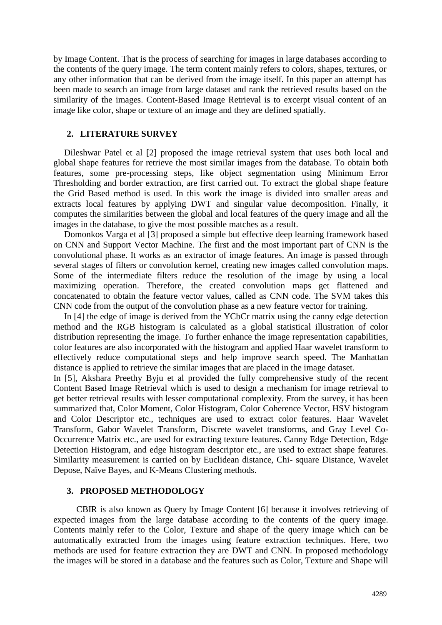by Image Content. That is the process of searching for images in large databases according to the contents of the query image. The term content mainly refers to colors, shapes, textures, or any other information that can be derived from the image itself. In this paper an attempt has been made to search an image from large dataset and rank the retrieved results based on the similarity of the images. Content-Based Image Retrieval is to excerpt visual content of an image like color, shape or texture of an image and they are defined spatially.

#### **2. LITERATURE SURVEY**

Dileshwar Patel et al [2] proposed the image retrieval system that uses both local and global shape features for retrieve the most similar images from the database. To obtain both features, some pre-processing steps, like object segmentation using Minimum Error Thresholding and border extraction, are first carried out. To extract the global shape feature the Grid Based method is used. In this work the image is divided into smaller areas and extracts local features by applying DWT and singular value decomposition. Finally, it computes the similarities between the global and local features of the query image and all the images in the database, to give the most possible matches as a result.

Domonkos Varga et al [3] proposed a simple but effective deep learning framework based on CNN and Support Vector Machine. The first and the most important part of CNN is the convolutional phase. It works as an extractor of image features. An image is passed through several stages of filters or convolution kernel, creating new images called convolution maps. Some of the intermediate filters reduce the resolution of the image by using a local maximizing operation. Therefore, the created convolution maps get flattened and concatenated to obtain the feature vector values, called as CNN code. The SVM takes this CNN code from the output of the convolution phase as a new feature vector for training.

In [4] the edge of image is derived from the YCbCr matrix using the canny edge detection method and the RGB histogram is calculated as a global statistical illustration of color distribution representing the image. To further enhance the image representation capabilities, color features are also incorporated with the histogram and applied Haar wavelet transform to effectively reduce computational steps and help improve search speed. The Manhattan distance is applied to retrieve the similar images that are placed in the image dataset.

In [5], Akshara Preethy Byju et al provided the fully comprehensive study of the recent Content Based Image Retrieval which is used to design a mechanism for image retrieval to get better retrieval results with lesser computational complexity. From the survey, it has been summarized that, Color Moment, Color Histogram, Color Coherence Vector, HSV histogram and Color Descriptor etc., techniques are used to extract color features. Haar Wavelet Transform, Gabor Wavelet Transform, Discrete wavelet transforms, and Gray Level Co-Occurrence Matrix etc., are used for extracting texture features. Canny Edge Detection, Edge Detection Histogram, and edge histogram descriptor etc., are used to extract shape features. Similarity measurement is carried on by Euclidean distance, Chi- square Distance, Wavelet Depose, Naïve Bayes, and K-Means Clustering methods.

#### **3. PROPOSED METHODOLOGY**

CBIR is also known as Query by Image Content [6] because it involves retrieving of expected images from the large database according to the contents of the query image. Contents mainly refer to the Color, Texture and shape of the query image which can be automatically extracted from the images using feature extraction techniques. Here, two methods are used for feature extraction they are DWT and CNN. In proposed methodology the images will be stored in a database and the features such as Color, Texture and Shape will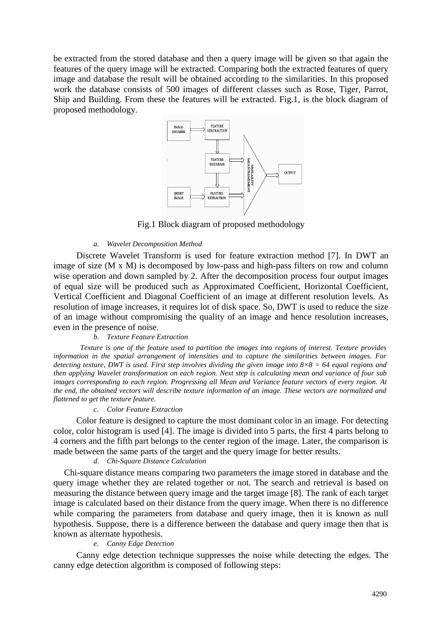be extracted from the stored database and then a query image will be given so that again the features of the query image will be extracted. Comparing both the extracted features of query image and database the result will be obtained according to the similarities. In this proposed work the database consists of 500 images of different classes such as Rose, Tiger, Parrot, Ship and Building. From these the features will be extracted. Fig.1, is the block diagram of proposed methodology.



Fig.1 Block diagram of proposed methodology

#### *a. Wavelet Decomposition Method*

Discrete Wavelet Transform is used for feature extraction method [7]. In DWT an image of size (M x M) is decomposed by low-pass and high-pass filters on row and column wise operation and down sampled by 2. After the decomposition process four output images of equal size will be produced such as Approximated Coefficient, Horizontal Coefficient, Vertical Coefficient and Diagonal Coefficient of an image at different resolution levels. As resolution of image increases, it requires lot of disk space. So, DWT is used to reduce the size of an image without compromising the quality of an image and hence resolution increases, even in the presence of noise.

#### *b. Texture Feature Extraction*

*Texture is one of the feature used to partition the images into regions of interest. Texture provides information in the spatial arrangement of intensities and to capture the similarities between images. For detecting texture, DWT is used. First step involves dividing the given image into 8×8 = 64 equal regions and then applying Wavelet transformation on each region. Next step is calculating mean and variance of four sub images corresponding to each region. Progressing all Mean and Variance feature vectors of every region. At the end, the obtained vectors will describe texture information of an image. These vectors are normalized and flattened to get the texture feature.*

#### *c. Color Feature Extraction*

Color feature is designed to capture the most dominant color in an image. For detecting color, color histogram is used [4]. The image is divided into 5 parts, the first 4 parts belong to 4 corners and the fifth part belongs to the center region of the image. Later, the comparison is made between the same parts of the target and the query image for better results.

### *d. Chi-Square Distance Calculation*

Chi-square distance means comparing two parameters the image stored in database and the query image whether they are related together or not. The search and retrieval is based on measuring the distance between query image and the target image [8]. The rank of each target image is calculated based on their distance from the query image. When there is no difference while comparing the parameters from database and query image, then it is known as null hypothesis. Suppose, there is a difference between the database and query image then that is known as alternate hypothesis.

#### *e. Canny Edge Detection*

Canny edge detection technique suppresses the noise while detecting the edges. The canny edge detection algorithm is composed of following steps: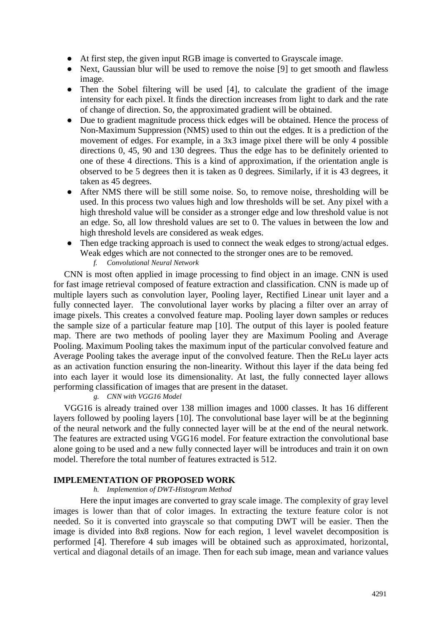- At first step, the given input RGB image is converted to Grayscale image.
- Next, Gaussian blur will be used to remove the noise [9] to get smooth and flawless image.
- Then the Sobel filtering will be used [4], to calculate the gradient of the image intensity for each pixel. It finds the direction increases from light to dark and the rate of change of direction. So, the approximated gradient will be obtained.
- Due to gradient magnitude process thick edges will be obtained. Hence the process of Non-Maximum Suppression (NMS) used to thin out the edges. It is a prediction of the movement of edges. For example, in a 3x3 image pixel there will be only 4 possible directions 0, 45, 90 and 130 degrees. Thus the edge has to be definitely oriented to one of these 4 directions. This is a kind of approximation, if the orientation angle is observed to be 5 degrees then it is taken as 0 degrees. Similarly, if it is 43 degrees, it taken as 45 degrees.
- After NMS there will be still some noise. So, to remove noise, thresholding will be used. In this process two values high and low thresholds will be set. Any pixel with a high threshold value will be consider as a stronger edge and low threshold value is not an edge. So, all low threshold values are set to 0. The values in between the low and high threshold levels are considered as weak edges.
- Then edge tracking approach is used to connect the weak edges to strong/actual edges. Weak edges which are not connected to the stronger ones are to be removed.
	- *f. Convolutional Neural Network*

CNN is most often applied in image processing to find object in an image. CNN is used for fast image retrieval composed of feature extraction and classification. CNN is made up of multiple layers such as convolution layer, Pooling layer, Rectified Linear unit layer and a fully connected layer. The convolutional layer works by placing a filter over an array of image pixels. This creates a convolved feature map. Pooling layer down samples or reduces the sample size of a particular feature map [10]. The output of this layer is pooled feature map. There are two methods of pooling layer they are Maximum Pooling and Average Pooling. Maximum Pooling takes the maximum input of the particular convolved feature and Average Pooling takes the average input of the convolved feature. Then the ReLu layer acts as an activation function ensuring the non-linearity. Without this layer if the data being fed into each layer it would lose its dimensionality. At last, the fully connected layer allows performing classification of images that are present in the dataset.

#### *g. CNN with VGG16 Model*

VGG16 is already trained over 138 million images and 1000 classes. It has 16 different layers followed by pooling layers [10]. The convolutional base layer will be at the beginning of the neural network and the fully connected layer will be at the end of the neural network. The features are extracted using VGG16 model. For feature extraction the convolutional base alone going to be used and a new fully connected layer will be introduces and train it on own model. Therefore the total number of features extracted is 512.

#### **IMPLEMENTATION OF PROPOSED WORK**

#### *h. Implemention of DWT-Histogram Method*

Here the input images are converted to gray scale image. The complexity of gray level images is lower than that of color images. In extracting the texture feature color is not needed. So it is converted into grayscale so that computing DWT will be easier. Then the image is divided into 8x8 regions. Now for each region, 1 level wavelet decomposition is performed [4]. Therefore 4 sub images will be obtained such as approximated, horizontal, vertical and diagonal details of an image. Then for each sub image, mean and variance values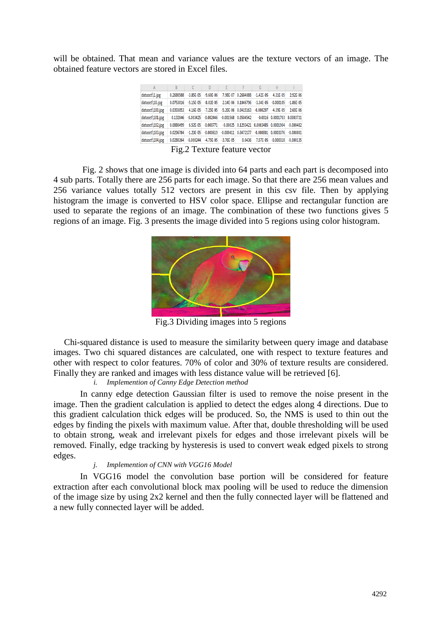will be obtained. That mean and variance values are the texture vectors of an image. The obtained feature vectors are stored in Excel files.

| А               | R         |               | D                                   |                                             |           | G              |               |               |
|-----------------|-----------|---------------|-------------------------------------|---------------------------------------------|-----------|----------------|---------------|---------------|
| dataset\1.jpg   | 0.2680588 | $-3.85E-05$   | $-9.60E - 06$                       | 7.98F-07                                    | 0.2684088 | $-1.42E - 05$  | 4.31E-05      | 2.92E-06      |
| dataset\10.jpg  | 0.0753016 | $-5.15E - 05$ | $-8.02E - 05$                       | $2.14F - 06$                                | 0.1046796 | $-3.34F - 0.5$ | $-0.000105$   | $-1.86E - 05$ |
| dataset\100.jpg | 0.0393053 | 4.16E-05      | $-7.25E - 05$                       | $-5.20E - 06$                               | 0.0415163 | $-0.000297$    | $-4.39E - 05$ | 2.60E-06      |
| dataset\101.jpg | 0.132046  | $-0.003425$   | $-0.002446$                         | $-0.001568$                                 | 0.0504542 | $-0.0016$      | 0.0001703     | 0.0003731     |
| dataset\102.jpg | 0.0880499 | 6.52E-05      | $-0.000771$                         | $-0.00025$                                  | 0.1293421 | 0.0003485      | 0.0001904     | $-0.000482$   |
| dataset\103.jpg | 0.0296784 | $-1.23F - 05$ | $-0.000619$                         | $-0.000411$                                 | 0.0472177 | $-0.000801$    | 0.0003376     | $-0.000801$   |
| dataset\104.jpg | 0.0280264 | $-0.000244$   | $-4.75E - 05$                       | $-3.76E - 05$                               | 0.0436    | 7.57E-05       | $-0.000318$   | $-0.000135$   |
|                 | --        | <u>_ _</u>    | the contract of the contract of the | $\sim$<br><b>Contract Contract Contract</b> |           |                |               |               |

Fig.2 Texture feature vector

Fig. 2 shows that one image is divided into 64 parts and each part is decomposed into 4 sub parts. Totally there are 256 parts for each image. So that there are 256 mean values and 256 variance values totally 512 vectors are present in this csv file. Then by applying histogram the image is converted to HSV color space. Ellipse and rectangular function are used to separate the regions of an image. The combination of these two functions gives 5 regions of an image. Fig. 3 presents the image divided into 5 regions using color histogram.



Fig.3 Dividing images into 5 regions

Chi-squared distance is used to measure the similarity between query image and database images. Two chi squared distances are calculated, one with respect to texture features and other with respect to color features. 70% of color and 30% of texture results are considered. Finally they are ranked and images with less distance value will be retrieved [6].

# *i. Implemention of Canny Edge Detection method*

In canny edge detection Gaussian filter is used to remove the noise present in the image. Then the gradient calculation is applied to detect the edges along 4 directions. Due to this gradient calculation thick edges will be produced. So, the NMS is used to thin out the edges by finding the pixels with maximum value. After that, double thresholding will be used to obtain strong, weak and irrelevant pixels for edges and those irrelevant pixels will be removed. Finally, edge tracking by hysteresis is used to convert weak edged pixels to strong edges.

#### *j. Implemention of CNN with VGG16 Model*

In VGG16 model the convolution base portion will be considered for feature extraction after each convolutional block max pooling will be used to reduce the dimension of the image size by using 2x2 kernel and then the fully connected layer will be flattened and a new fully connected layer will be added.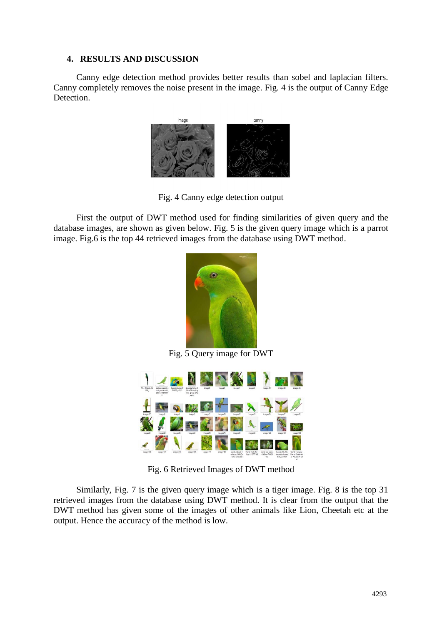# **4. RESULTS AND DISCUSSION**

Canny edge detection method provides better results than sobel and laplacian filters. Canny completely removes the noise present in the image. Fig. 4 is the output of Canny Edge Detection.



Fig. 4 Canny edge detection output

First the output of DWT method used for finding similarities of given query and the database images, are shown as given below. Fig. 5 is the given query image which is a parrot image. Fig.6 is the top 44 retrieved images from the database using DWT method.



Fig. 5 Query image for DWT



Fig. 6 Retrieved Images of DWT method

Similarly, Fig. 7 is the given query image which is a tiger image. Fig. 8 is the top 31 retrieved images from the database using DWT method. It is clear from the output that the DWT method has given some of the images of other animals like Lion, Cheetah etc at the output. Hence the accuracy of the method is low.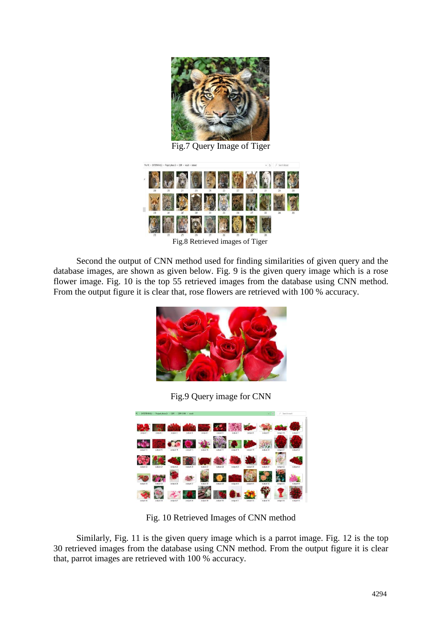

Fig.7 Query Image of Tiger



Fig.8 Retrieved images of Tiger

Second the output of CNN method used for finding similarities of given query and the database images, are shown as given below. Fig. 9 is the given query image which is a rose flower image. Fig. 10 is the top 55 retrieved images from the database using CNN method. From the output figure it is clear that, rose flowers are retrieved with 100 % accuracy.



Fig.9 Query image for CNN



Fig. 10 Retrieved Images of CNN method

Similarly, Fig. 11 is the given query image which is a parrot image. Fig. 12 is the top 30 retrieved images from the database using CNN method. From the output figure it is clear that, parrot images are retrieved with 100 % accuracy.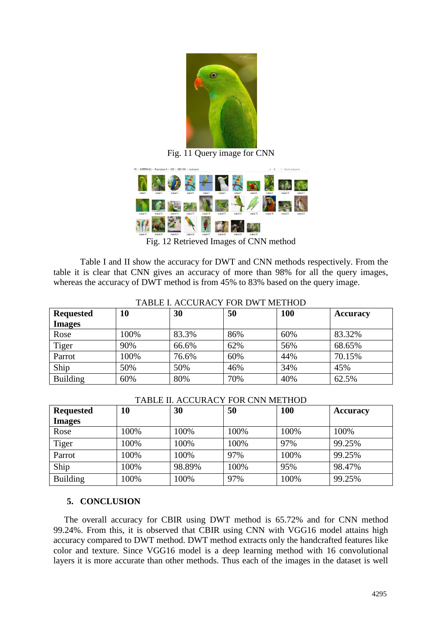

Fig. 11 Query image for CNN



Fig. 12 Retrieved Images of CNN method

Table I and II show the accuracy for DWT and CNN methods respectively. From the table it is clear that CNN gives an accuracy of more than 98% for all the query images, whereas the accuracy of DWT method is from 45% to 83% based on the query image.

| <b>Requested</b> | 10   | 30    | 50  | 100 | <b>Accuracy</b> |  |
|------------------|------|-------|-----|-----|-----------------|--|
| <b>Images</b>    |      |       |     |     |                 |  |
| Rose             | 100% | 83.3% | 86% | 60% | 83.32%          |  |
| Tiger            | 90%  | 66.6% | 62% | 56% | 68.65%          |  |
| Parrot           | 100% | 76.6% | 60% | 44% | 70.15%          |  |
| Ship             | 50%  | 50%   | 46% | 34% | 45%             |  |
| <b>Building</b>  | 60%  | 80%   | 70% | 40% | 62.5%           |  |

# TABLE I. ACCURACY FOR DWT METHOD

## TABLE II. ACCURACY FOR CNN METHOD

| <b>Requested</b> | 10   | 30     | 50   | 100  | <b>Accuracy</b> |
|------------------|------|--------|------|------|-----------------|
| <b>Images</b>    |      |        |      |      |                 |
| Rose             | 100% | 100%   | 100% | 100% | 100%            |
| Tiger            | 100% | 100%   | 100% | 97%  | 99.25%          |
| Parrot           | 100% | 100%   | 97%  | 100% | 99.25%          |
| Ship             | 100% | 98.89% | 100% | 95%  | 98.47%          |
| <b>Building</b>  | 100% | 100%   | 97%  | 100% | 99.25%          |

# **5. CONCLUSION**

The overall accuracy for CBIR using DWT method is 65.72% and for CNN method 99.24%. From this, it is observed that CBIR using CNN with VGG16 model attains high accuracy compared to DWT method. DWT method extracts only the handcrafted features like color and texture. Since VGG16 model is a deep learning method with 16 convolutional layers it is more accurate than other methods. Thus each of the images in the dataset is well